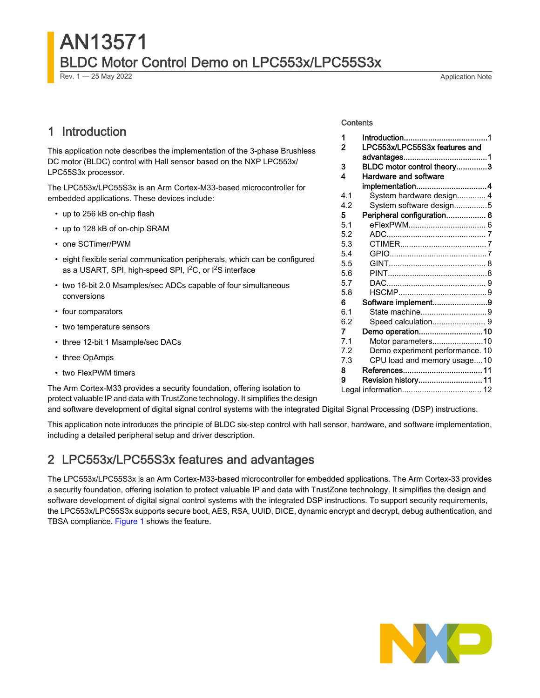# AN13571 BLDC Motor Control Demo on LPC553x/LPC55S3x

Rev. 1 — 25 May 2022 2008 and the state of the state of the state of the state of the Application Note

# 1 Introduction

This application note describes the implementation of the 3-phase Brushless DC motor (BLDC) control with Hall sensor based on the NXP LPC553x/ LPC55S3x processor.

The LPC553x/LPC55S3x is an Arm Cortex-M33-based microcontroller for embedded applications. These devices include:

- up to 256 kB on-chip flash
- up to 128 kB of on-chip SRAM
- one SCTimer/PWM
- eight flexible serial communication peripherals, which can be configured as a USART, SPI, high-speed SPI, I<sup>2</sup>C, or I<sup>2</sup>S interface
- two 16-bit 2.0 Msamples/sec ADCs capable of four simultaneous conversions
- four comparators
- two temperature sensors
- three 12-bit 1 Msample/sec DACs
- three OpAmps
- two FlexPWM timers

The Arm Cortex-M33 provides a security foundation, offering isolation to protect valuable IP and data with TrustZone technology. It simplifies the design

and software development of digital signal control systems with the integrated Digital Signal Processing (DSP) instructions.

This application note introduces the principle of BLDC six-step control with hall sensor, hardware, and software implementation, including a detailed peripheral setup and driver description.

### 2 LPC553x/LPC55S3x features and advantages

The LPC553x/LPC55S3x is an Arm Cortex-M33-based microcontroller for embedded applications. The Arm Cortex-33 provides a security foundation, offering isolation to protect valuable IP and data with TrustZone technology. It simplifies the design and software development of digital signal control systems with the integrated DSP instructions. To support security requirements, the LPC553x/LPC55S3x supports secure boot, AES, RSA, UUID, DICE, dynamic encrypt and decrypt, debug authentication, and TBSA compliance. [Figure 1](#page-1-0) shows the feature.



#### **Contents**

| 1   |                                 |  |
|-----|---------------------------------|--|
| 2   | LPC553x/LPC55S3x features and   |  |
|     |                                 |  |
| 3   | BLDC motor control theory3      |  |
| 4   | Hardware and software           |  |
|     | implementation4                 |  |
| 4.1 | System hardware design 4        |  |
| 4.2 | System software design5         |  |
| 5.  | Peripheral configuration 6      |  |
| 5.1 |                                 |  |
| 5.2 |                                 |  |
| 5.3 |                                 |  |
| 5.4 |                                 |  |
| 5.5 |                                 |  |
| 5.6 |                                 |  |
| 5.7 |                                 |  |
| 5.8 |                                 |  |
| 6   | Software implement9             |  |
| 6.1 | State machine9                  |  |
| 6.2 |                                 |  |
| 7   | Demo operation10                |  |
| 7.1 | Motor parameters10              |  |
| 7.2 | Demo experiment performance. 10 |  |
| 7.3 | CPU load and memory usage10     |  |
| 8   |                                 |  |
| 9   | Revision history 11             |  |
|     |                                 |  |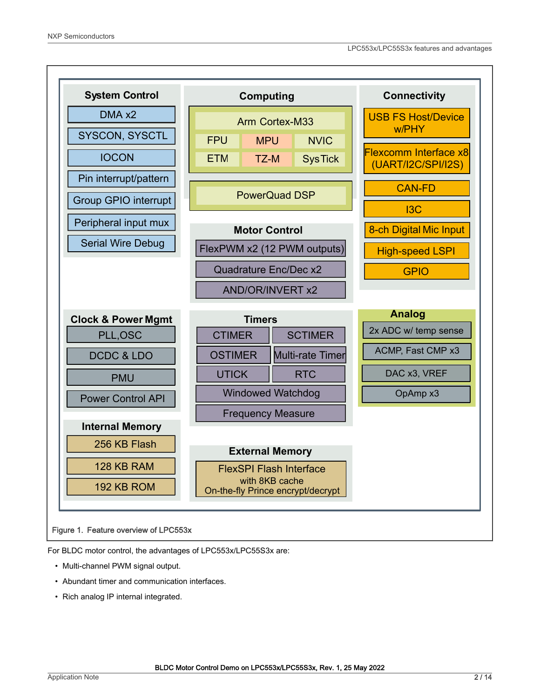<span id="page-1-0"></span>

For BLDC motor control, the advantages of LPC553x/LPC55S3x are:

- Multi-channel PWM signal output.
- Abundant timer and communication interfaces.
- Rich analog IP internal integrated.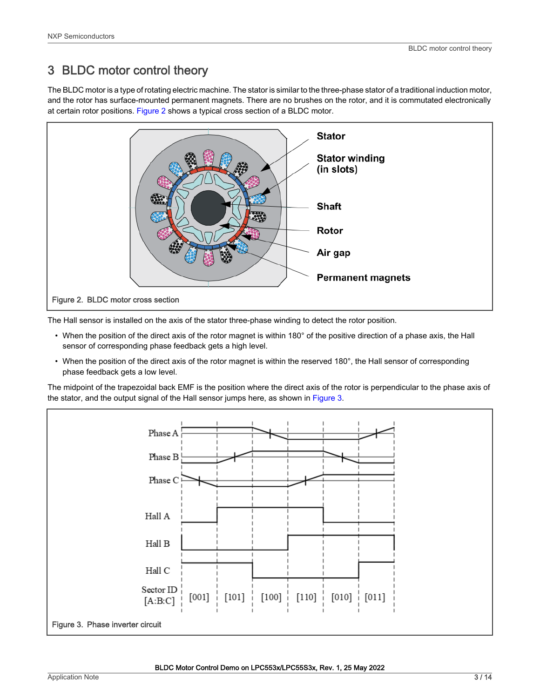# <span id="page-2-0"></span>3 BLDC motor control theory

The BLDC motor is a type of rotating electric machine. The stator is similar to the three-phase stator of a traditional induction motor, and the rotor has surface-mounted permanent magnets. There are no brushes on the rotor, and it is commutated electronically at certain rotor positions. Figure 2 shows a typical cross section of a BLDC motor.



The Hall sensor is installed on the axis of the stator three-phase winding to detect the rotor position.

- When the position of the direct axis of the rotor magnet is within 180° of the positive direction of a phase axis, the Hall sensor of corresponding phase feedback gets a high level.
- When the position of the direct axis of the rotor magnet is within the reserved 180°, the Hall sensor of corresponding phase feedback gets a low level.

The midpoint of the trapezoidal back EMF is the position where the direct axis of the rotor is perpendicular to the phase axis of the stator, and the output signal of the Hall sensor jumps here, as shown in Figure 3.

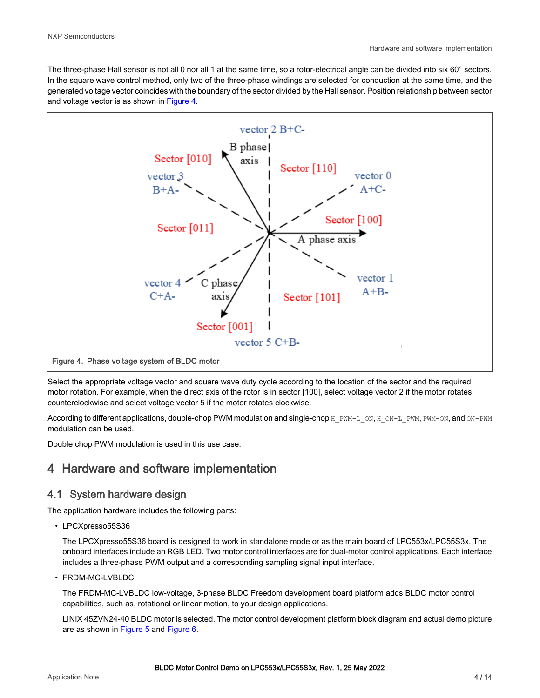<span id="page-3-0"></span>The three-phase Hall sensor is not all 0 nor all 1 at the same time, so a rotor-electrical angle can be divided into six 60° sectors. In the square wave control method, only two of the three-phase windings are selected for conduction at the same time, and the generated voltage vector coincides with the boundary of the sector divided by the Hall sensor. Position relationship between sector and voltage vector is as shown in Figure 4.



Select the appropriate voltage vector and square wave duty cycle according to the location of the sector and the required motor rotation. For example, when the direct axis of the rotor is in sector [100], select voltage vector 2 if the motor rotates counterclockwise and select voltage vector 5 if the motor rotates clockwise.

According to different applications, double-chop PWM modulation and single-chop H\_PWM-L\_ON, H\_ON-L\_PWM, PWM-ON, and ON-PWM modulation can be used.

Double chop PWM modulation is used in this use case.

# 4 Hardware and software implementation

#### 4.1 System hardware design

The application hardware includes the following parts:

• LPCXpresso55S36

The LPCXpresso55S36 board is designed to work in standalone mode or as the main board of LPC553x/LPC55S3x. The onboard interfaces include an RGB LED. Two motor control interfaces are for dual-motor control applications. Each interface includes a three-phase PWM output and a corresponding sampling signal input interface.

• FRDM-MC-LVBLDC

The FRDM-MC-LVBLDC low-voltage, 3-phase BLDC Freedom development board platform adds BLDC motor control capabilities, such as, rotational or linear motion, to your design applications.

LINIX 45ZVN24-40 BLDC motor is selected. The motor control development platform block diagram and actual demo picture are as shown in [Figure 5](#page-4-0) and [Figure 6.](#page-4-0)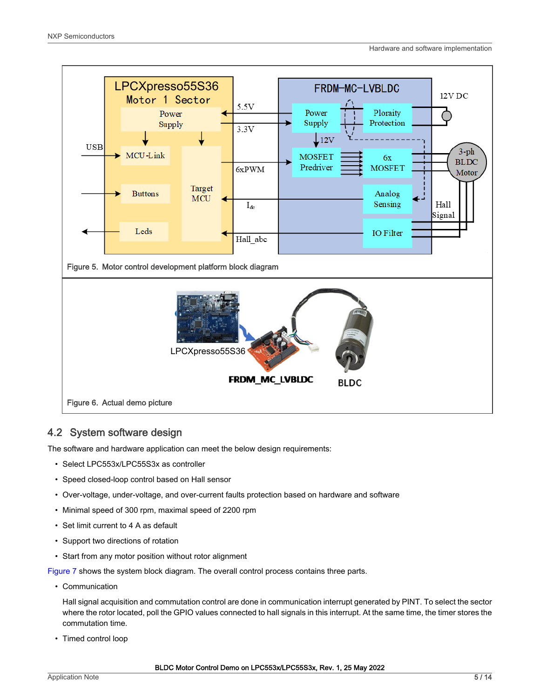<span id="page-4-0"></span>

#### 4.2 System software design

The software and hardware application can meet the below design requirements:

- Select LPC553x/LPC55S3x as controller
- Speed closed-loop control based on Hall sensor
- Over-voltage, under-voltage, and over-current faults protection based on hardware and software
- Minimal speed of 300 rpm, maximal speed of 2200 rpm
- Set limit current to 4 A as default
- Support two directions of rotation
- Start from any motor position without rotor alignment

[Figure 7](#page-5-0) shows the system block diagram. The overall control process contains three parts.

• Communication

Hall signal acquisition and commutation control are done in communication interrupt generated by PINT. To select the sector where the rotor located, poll the GPIO values connected to hall signals in this interrupt. At the same time, the timer stores the commutation time.

• Timed control loop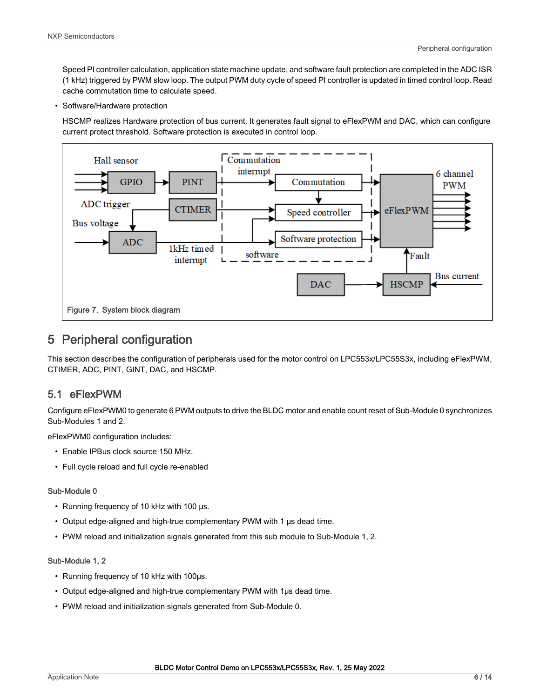<span id="page-5-0"></span>Speed PI controller calculation, application state machine update, and software fault protection are completed in the ADC ISR (1 kHz) triggered by PWM slow loop. The output PWM duty cycle of speed PI controller is updated in timed control loop. Read cache commutation time to calculate speed.

• Software/Hardware protection

HSCMP realizes Hardware protection of bus current. It generates fault signal to eFlexPWM and DAC, which can configure current protect threshold. Software protection is executed in control loop.



## 5 Peripheral configuration

This section describes the configuration of peripherals used for the motor control on LPC553x/LPC55S3x, including eFlexPWM, CTIMER, ADC, PINT, GINT, DAC, and HSCMP.

#### 5.1 eFlexPWM

Configure eFlexPWM0 to generate 6 PWM outputs to drive the BLDC motor and enable count reset of Sub-Module 0 synchronizes Sub-Modules 1 and 2.

eFlexPWM0 configuration includes:

- Enable IPBus clock source 150 MHz.
- Full cycle reload and full cycle re-enabled

#### Sub-Module 0

- Running frequency of 10 kHz with 100 μs.
- Output edge-aligned and high-true complementary PWM with 1 μs dead time.
- PWM reload and initialization signals generated from this sub module to Sub-Module 1, 2.

#### Sub-Module 1, 2

- Running frequency of 10 kHz with 100μs.
- Output edge-aligned and high-true complementary PWM with 1μs dead time.
- PWM reload and initialization signals generated from Sub-Module 0.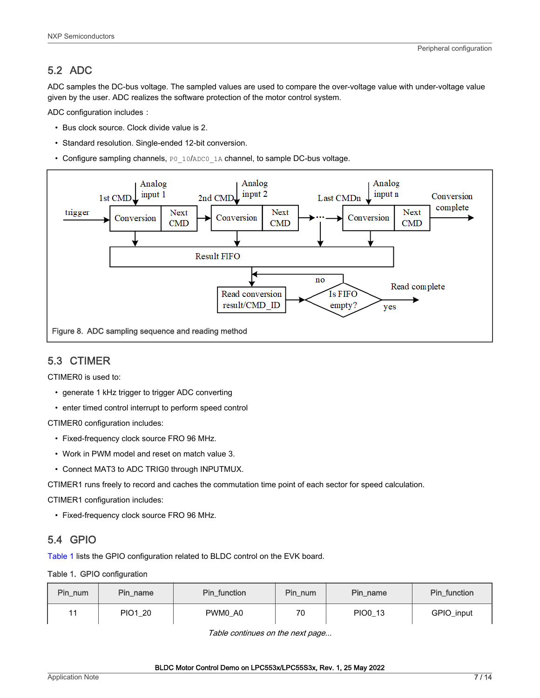#### <span id="page-6-0"></span>5.2 ADC

ADC samples the DC-bus voltage. The sampled values are used to compare the over-voltage value with under-voltage value given by the user. ADC realizes the software protection of the motor control system.

ADC configuration includes:

- Bus clock source. Clock divide value is 2.
- Standard resolution. Single-ended 12-bit conversion.
- Configure sampling channels, PO\_10/ADCO\_1A channel, to sample DC-bus voltage.



#### 5.3 CTIMER

CTIMER0 is used to:

- generate 1 kHz trigger to trigger ADC converting
- enter timed control interrupt to perform speed control

CTIMER0 configuration includes:

- Fixed-frequency clock source FRO 96 MHz.
- Work in PWM model and reset on match value 3.
- Connect MAT3 to ADC TRIG0 through INPUTMUX.

CTIMER1 runs freely to record and caches the commutation time point of each sector for speed calculation.

CTIMER1 configuration includes:

• Fixed-frequency clock source FRO 96 MHz.

#### 5.4 GPIO

Table 1 lists the GPIO configuration related to BLDC control on the EVK board.

#### Table 1. GPIO configuration

| Pin_num | Pin name | Pin function | Pin_num | Pin name | Pin function |
|---------|----------|--------------|---------|----------|--------------|
| 11      | PIO1 20  | PWM0 A0      | 70      | PIO0 13  | GPIO_input   |

Table continues on the next page...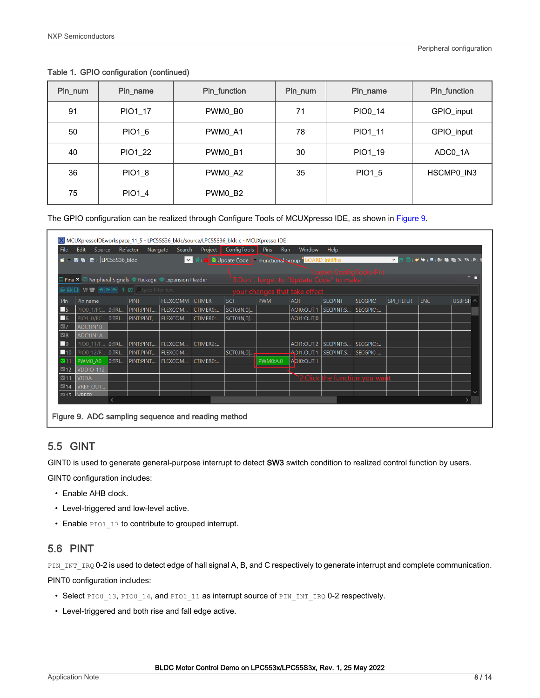| Pin_num | Pin_name       | Pin_function | Pin_num | Pin_name      | Pin_function |
|---------|----------------|--------------|---------|---------------|--------------|
| 91      | PIO1 17        | PWM0_B0      | 71      | PIO0 14       | GPIO_input   |
| 50      | PIO1 6         | PWM0 A1      | 78      | PIO1 11       | GPIO_input   |
| 40      | <b>PIO1 22</b> | PWM0 B1      | 30      | PIO1 19       | ADC0 1A      |
| 36      | <b>PIO1 8</b>  | PWM0 A2      | 35      | <b>PIO1 5</b> | HSCMP0_IN3   |
| 75      | <b>PIO1 4</b>  | PWM0 B2      |         |               |              |

#### <span id="page-7-0"></span>Table 1. GPIO configuration (continued)

The GPIO configuration can be realized through Configure Tools of MCUXpresso IDE, as shown in Figure 9.

| File               | Edit                                                                                                                                                                                                                                                                                                                                                                                                                                                                                       |           | Source Refactor Navigate Search Project                                |                 |                     | ConfigTools | Pins<br>Run     | Window                                                 | Help                         |                        |                   |            |                                        |
|--------------------|--------------------------------------------------------------------------------------------------------------------------------------------------------------------------------------------------------------------------------------------------------------------------------------------------------------------------------------------------------------------------------------------------------------------------------------------------------------------------------------------|-----------|------------------------------------------------------------------------|-----------------|---------------------|-------------|-----------------|--------------------------------------------------------|------------------------------|------------------------|-------------------|------------|----------------------------------------|
|                    | $\blacksquare$ $\blacksquare$ $\blacksquare$ $\blacksquare$ $\blacksquare$ $\blacksquare$ $\blacksquare$ $\blacksquare$ $\blacksquare$ $\blacksquare$ $\blacksquare$ $\blacksquare$ $\blacksquare$ $\blacksquare$ $\blacksquare$ $\blacksquare$ $\blacksquare$ $\blacksquare$ $\blacksquare$ $\blacksquare$ $\blacksquare$ $\blacksquare$ $\blacksquare$ $\blacksquare$ $\blacksquare$ $\blacksquare$ $\blacksquare$ $\blacksquare$ $\blacksquare$ $\blacksquare$ $\blacksquare$ $\blacks$ |           |                                                                        |                 |                     |             |                 | V 4: A D Update Code   Functional Group BOARD InitPins |                              |                        | $\vee$            |            | $\mathbb{R} \times \mathbb{R}$ . As in |
|                    |                                                                                                                                                                                                                                                                                                                                                                                                                                                                                            |           |                                                                        |                 |                     |             |                 |                                                        |                              | 1.open ConfigTools-Pin |                   |            |                                        |
|                    |                                                                                                                                                                                                                                                                                                                                                                                                                                                                                            |           | Pins × <b><i>⊠</i> Peripheral Signals · Package · Expansion Header</b> |                 |                     |             |                 | 3.Don't forget to "Update Code" to make                |                              |                        |                   |            | - -                                    |
|                    |                                                                                                                                                                                                                                                                                                                                                                                                                                                                                            |           |                                                                        |                 |                     |             |                 | your changes that take effect                          |                              |                        |                   |            |                                        |
| Pin                | Pin name                                                                                                                                                                                                                                                                                                                                                                                                                                                                                   |           | <b>PINT</b>                                                            | FLEXCOMM CTIMER |                     | <b>SCT</b>  | <b>PWM</b>      | <b>AOI</b>                                             | <b>SECPINT</b>               | <b>SECGPIO</b>         | <b>SPI FILTER</b> | <b>ENC</b> | USBFSH ^                               |
| $\Box$ 5           |                                                                                                                                                                                                                                                                                                                                                                                                                                                                                            |           | PIOO_1/FC O:TRI PINT:PINT, FLEXCOM CTIMERO:                            |                 |                     | SCT0:IN,0[  |                 | AOI0:OUT,1 SECPINT:S                                   |                              | SECGPIO:               |                   |            |                                        |
| $\Box$ 6           |                                                                                                                                                                                                                                                                                                                                                                                                                                                                                            |           | PIO1 0/FC 0:TRI PINT:PINT,                                             | <b>FLEXCOM</b>  | CTIMER <sub>0</sub> | SCT0:IN,0[  |                 | AOI1:OUT,0                                             |                              |                        |                   |            |                                        |
| $\triangleright$ 7 | ADC1IN1B                                                                                                                                                                                                                                                                                                                                                                                                                                                                                   |           |                                                                        |                 |                     |             |                 |                                                        |                              |                        |                   |            |                                        |
| $\triangleright$ 8 | ADC1IN1A                                                                                                                                                                                                                                                                                                                                                                                                                                                                                   |           |                                                                        |                 |                     |             |                 |                                                        |                              |                        |                   |            |                                        |
| $\Box$ 9           | PIO0 11/F 0:TRI                                                                                                                                                                                                                                                                                                                                                                                                                                                                            |           | PINT:PINT,                                                             | <b>FLEXCOM</b>  | CTIMER2:            |             |                 |                                                        | AOI1:OUT,2   SECPINT:S       | SECGPIO:               |                   |            |                                        |
| $\Box$ 10          | PIO0 12/F 0:TRI                                                                                                                                                                                                                                                                                                                                                                                                                                                                            |           | PINT:PINT,                                                             | FLEXCOM         |                     | SCT0:IN,0[  |                 | $\frac{1}{2}$ AOI1:OUT,1                               | SECPINT:S SECGPIO:           |                        |                   |            |                                        |
| $V$ 11             | PWM0 A0                                                                                                                                                                                                                                                                                                                                                                                                                                                                                    | 0:TRI     | PINT:PINT                                                              | FLEXCOM         | CTIMER0:            |             | <b>PWM0:A,0</b> | AOI0:OUT,1                                             |                              |                        |                   |            |                                        |
| $\boxtimes$ 12     | VDDIO 112                                                                                                                                                                                                                                                                                                                                                                                                                                                                                  |           |                                                                        |                 |                     |             |                 |                                                        |                              |                        |                   |            |                                        |
| $\boxtimes$ 13     | <b>VDDA</b>                                                                                                                                                                                                                                                                                                                                                                                                                                                                                |           |                                                                        |                 |                     |             |                 |                                                        | `2.Click the function you wa |                        |                   |            |                                        |
| $\nabla$ 14        | <b>VREF OUT</b>                                                                                                                                                                                                                                                                                                                                                                                                                                                                            |           |                                                                        |                 |                     |             |                 |                                                        |                              |                        |                   |            |                                        |
|                    | 15 VREEP                                                                                                                                                                                                                                                                                                                                                                                                                                                                                   | $\langle$ |                                                                        |                 |                     |             |                 |                                                        |                              |                        |                   |            |                                        |
|                    |                                                                                                                                                                                                                                                                                                                                                                                                                                                                                            |           |                                                                        |                 |                     |             |                 |                                                        |                              |                        |                   |            |                                        |

#### 5.5 GINT

GINT0 is used to generate general-purpose interrupt to detect SW3 switch condition to realized control function by users.

GINT0 configuration includes:

- Enable AHB clock.
- Level-triggered and low-level active.
- Enable PIO1 17 to contribute to grouped interrupt.

#### 5.6 PINT

PIN\_INT\_IRQ 0-2 is used to detect edge of hall signal A, B, and C respectively to generate interrupt and complete communication.

PINT0 configuration includes:

- Select PIO0\_13, PIO0\_14, and PIO1\_11 as interrupt source of PIN\_INT\_IRQ 0-2 respectively.
- Level-triggered and both rise and fall edge active.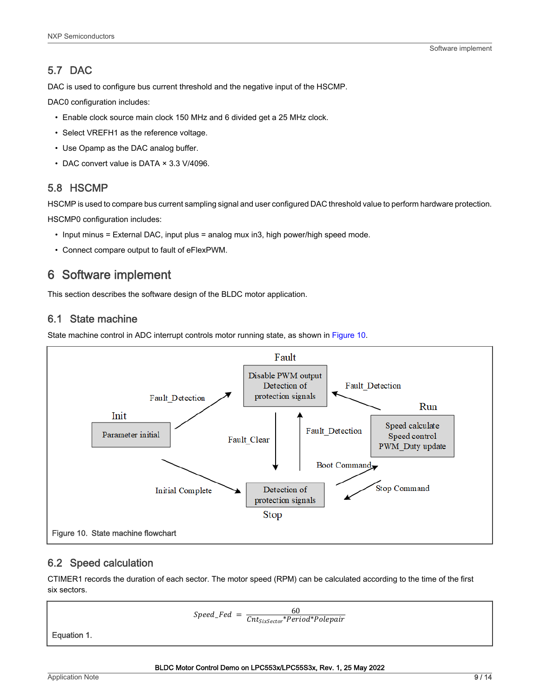#### <span id="page-8-0"></span>5.7 DAC

DAC is used to configure bus current threshold and the negative input of the HSCMP.

DAC0 configuration includes:

- Enable clock source main clock 150 MHz and 6 divided get a 25 MHz clock.
- Select VREFH1 as the reference voltage.
- Use Opamp as the DAC analog buffer.
- DAC convert value is DATA × 3.3 V/4096.

#### 5.8 HSCMP

HSCMP is used to compare bus current sampling signal and user configured DAC threshold value to perform hardware protection.

HSCMP0 configuration includes:

- Input minus = External DAC, input plus = analog mux in3, high power/high speed mode.
- Connect compare output to fault of eFlexPWM.

# 6 Software implement

This section describes the software design of the BLDC motor application.

#### 6.1 State machine

State machine control in ADC interrupt controls motor running state, as shown in Figure 10.



#### 6.2 Speed calculation

CTIMER1 records the duration of each sector. The motor speed (RPM) can be calculated according to the time of the first six sectors.

$$
Speed\_Fed = \frac{60}{Cnt_{Six Sector}*Period*Polepair}
$$

Equation 1.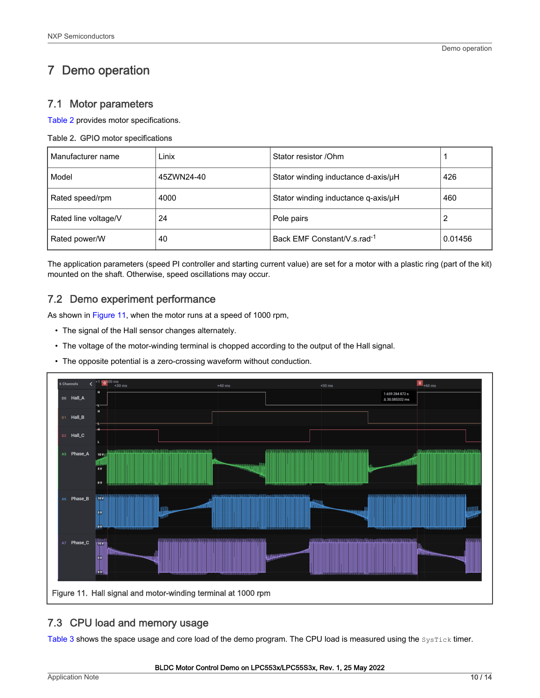# <span id="page-9-0"></span>7 Demo operation

#### 7.1 Motor parameters

Table 2 provides motor specifications.

#### Table 2. GPIO motor specifications

| Manufacturer name    | Linix      | Stator resistor / Ohm                   |         |
|----------------------|------------|-----------------------------------------|---------|
| Model                | 45ZWN24-40 | Stator winding inductance d-axis/µH     | 426     |
| Rated speed/rpm      | 4000       | Stator winding inductance q-axis/µH     | 460     |
| Rated line voltage/V | 24         | Pole pairs                              |         |
| Rated power/W        | 40         | Back EMF Constant/V.s.rad <sup>-1</sup> | 0.01456 |

The application parameters (speed PI controller and starting current value) are set for a motor with a plastic ring (part of the kit) mounted on the shaft. Otherwise, speed oscillations may occur.

#### 7.2 Demo experiment performance

As shown in Figure 11, when the motor runs at a speed of 1000 rpm,

- The signal of the Hall sensor changes alternately.
- The voltage of the motor-winding terminal is chopped according to the output of the Hall signal.
- The opposite potential is a zero-crossing waveform without conduction.



#### 7.3 CPU load and memory usage

[Table 3](#page-10-0) shows the space usage and core load of the demo program. The CPU load is measured using the SysTick timer.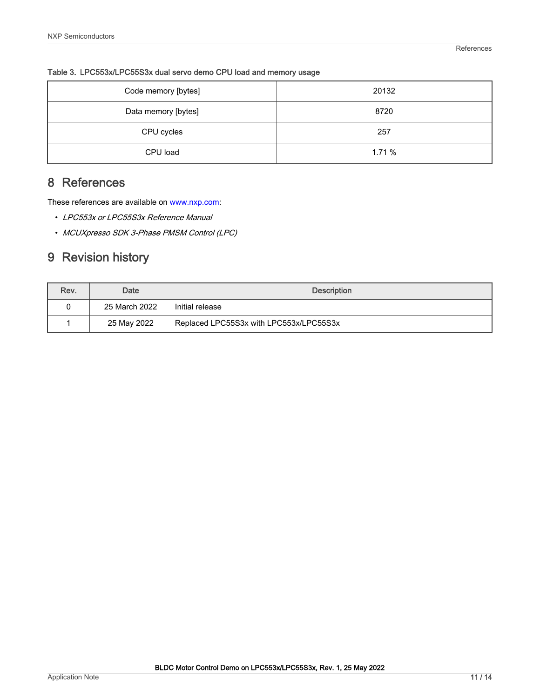| Code memory [bytes] | 20132 |
|---------------------|-------|
| Data memory [bytes] | 8720  |
| CPU cycles          | 257   |
| CPU load            | 1.71% |

<span id="page-10-0"></span>Table 3. LPC553x/LPC55S3x dual servo demo CPU load and memory usage

# 8 References

These references are available on [www.nxp.com:](http://www.nxp.com)

- LPC553x or LPC55S3x Reference Manual
- MCUXpresso SDK 3-Phase PMSM Control (LPC)

# 9 Revision history

| Rev. | Date          | <b>Description</b>                      |
|------|---------------|-----------------------------------------|
| 0    | 25 March 2022 | Initial release                         |
|      | 25 May 2022   | Replaced LPC55S3x with LPC553x/LPC55S3x |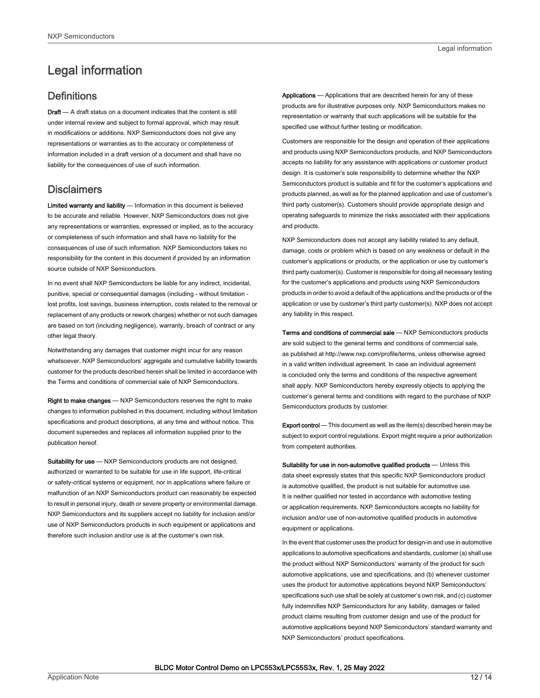# <span id="page-11-0"></span>Legal information

#### **Definitions**

Draft - A draft status on a document indicates that the content is still under internal review and subject to formal approval, which may result in modifications or additions. NXP Semiconductors does not give any representations or warranties as to the accuracy or completeness of information included in a draft version of a document and shall have no liability for the consequences of use of such information.

#### **Disclaimers**

Limited warranty and liability - Information in this document is believed to be accurate and reliable. However, NXP Semiconductors does not give any representations or warranties, expressed or implied, as to the accuracy or completeness of such information and shall have no liability for the consequences of use of such information. NXP Semiconductors takes no responsibility for the content in this document if provided by an information source outside of NXP Semiconductors.

In no event shall NXP Semiconductors be liable for any indirect, incidental, punitive, special or consequential damages (including - without limitation lost profits, lost savings, business interruption, costs related to the removal or replacement of any products or rework charges) whether or not such damages are based on tort (including negligence), warranty, breach of contract or any other legal theory.

Notwithstanding any damages that customer might incur for any reason whatsoever, NXP Semiconductors' aggregate and cumulative liability towards customer for the products described herein shall be limited in accordance with the Terms and conditions of commercial sale of NXP Semiconductors.

Right to make changes — NXP Semiconductors reserves the right to make changes to information published in this document, including without limitation specifications and product descriptions, at any time and without notice. This document supersedes and replaces all information supplied prior to the publication hereof.

Suitability for use - NXP Semiconductors products are not designed, authorized or warranted to be suitable for use in life support, life-critical or safety-critical systems or equipment, nor in applications where failure or malfunction of an NXP Semiconductors product can reasonably be expected to result in personal injury, death or severe property or environmental damage. NXP Semiconductors and its suppliers accept no liability for inclusion and/or use of NXP Semiconductors products in such equipment or applications and therefore such inclusion and/or use is at the customer's own risk.

Applications — Applications that are described herein for any of these products are for illustrative purposes only. NXP Semiconductors makes no representation or warranty that such applications will be suitable for the specified use without further testing or modification.

Customers are responsible for the design and operation of their applications and products using NXP Semiconductors products, and NXP Semiconductors accepts no liability for any assistance with applications or customer product design. It is customer's sole responsibility to determine whether the NXP Semiconductors product is suitable and fit for the customer's applications and products planned, as well as for the planned application and use of customer's third party customer(s). Customers should provide appropriate design and operating safeguards to minimize the risks associated with their applications and products.

NXP Semiconductors does not accept any liability related to any default, damage, costs or problem which is based on any weakness or default in the customer's applications or products, or the application or use by customer's third party customer(s). Customer is responsible for doing all necessary testing for the customer's applications and products using NXP Semiconductors products in order to avoid a default of the applications and the products or of the application or use by customer's third party customer(s). NXP does not accept any liability in this respect.

Terms and conditions of commercial sale — NXP Semiconductors products are sold subject to the general terms and conditions of commercial sale, as published at http://www.nxp.com/profile/terms, unless otherwise agreed in a valid written individual agreement. In case an individual agreement is concluded only the terms and conditions of the respective agreement shall apply. NXP Semiconductors hereby expressly objects to applying the customer's general terms and conditions with regard to the purchase of NXP Semiconductors products by customer.

Export control - This document as well as the item(s) described herein may be subject to export control regulations. Export might require a prior authorization from competent authorities.

Suitability for use in non-automotive qualified products - Unless this data sheet expressly states that this specific NXP Semiconductors product is automotive qualified, the product is not suitable for automotive use. It is neither qualified nor tested in accordance with automotive testing or application requirements. NXP Semiconductors accepts no liability for inclusion and/or use of non-automotive qualified products in automotive equipment or applications.

In the event that customer uses the product for design-in and use in automotive applications to automotive specifications and standards, customer (a) shall use the product without NXP Semiconductors' warranty of the product for such automotive applications, use and specifications, and (b) whenever customer uses the product for automotive applications beyond NXP Semiconductors' specifications such use shall be solely at customer's own risk, and (c) customer fully indemnifies NXP Semiconductors for any liability, damages or failed product claims resulting from customer design and use of the product for automotive applications beyond NXP Semiconductors' standard warranty and NXP Semiconductors' product specifications.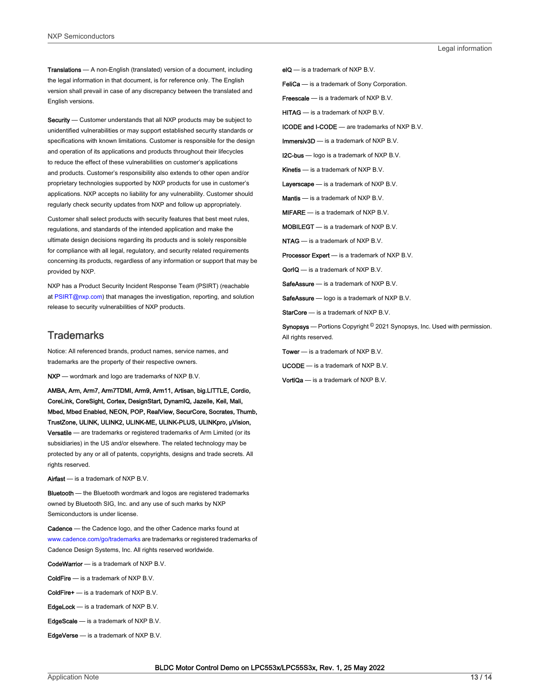Translations — A non-English (translated) version of a document, including the legal information in that document, is for reference only. The English version shall prevail in case of any discrepancy between the translated and English versions.

Security - Customer understands that all NXP products may be subject to unidentified vulnerabilities or may support established security standards or specifications with known limitations. Customer is responsible for the design and operation of its applications and products throughout their lifecycles to reduce the effect of these vulnerabilities on customer's applications and products. Customer's responsibility also extends to other open and/or proprietary technologies supported by NXP products for use in customer's applications. NXP accepts no liability for any vulnerability. Customer should regularly check security updates from NXP and follow up appropriately.

Customer shall select products with security features that best meet rules, regulations, and standards of the intended application and make the ultimate design decisions regarding its products and is solely responsible for compliance with all legal, regulatory, and security related requirements concerning its products, regardless of any information or support that may be provided by NXP.

NXP has a Product Security Incident Response Team (PSIRT) (reachable at [PSIRT@nxp.com\)](mailto:PSIRT@nxp.com) that manages the investigation, reporting, and solution release to security vulnerabilities of NXP products.

#### **Trademarks**

Notice: All referenced brands, product names, service names, and trademarks are the property of their respective owners.

NXP — wordmark and logo are trademarks of NXP B.V.

AMBA, Arm, Arm7, Arm7TDMI, Arm9, Arm11, Artisan, big.LITTLE, Cordio, CoreLink, CoreSight, Cortex, DesignStart, DynamIQ, Jazelle, Keil, Mali, Mbed, Mbed Enabled, NEON, POP, RealView, SecurCore, Socrates, Thumb, TrustZone, ULINK, ULINK2, ULINK-ME, ULINK-PLUS, ULINKpro, μVision, Versatile — are trademarks or registered trademarks of Arm Limited (or its subsidiaries) in the US and/or elsewhere. The related technology may be protected by any or all of patents, copyrights, designs and trade secrets. All rights reserved.

Airfast — is a trademark of NXP B.V.

**Bluetooth** — the Bluetooth wordmark and logos are registered trademarks owned by Bluetooth SIG, Inc. and any use of such marks by NXP Semiconductors is under license.

Cadence — the Cadence logo, and the other Cadence marks found at [www.cadence.com/go/trademarks](http://www.cadence.com/go/trademarks) are trademarks or registered trademarks of Cadence Design Systems, Inc. All rights reserved worldwide.

CodeWarrior — is a trademark of NXP B.V.

- ColdFire is a trademark of NXP B.V.
- ColdFire+ is a trademark of NXP B.V.
- EdgeLock is a trademark of NXP B.V.
- EdgeScale is a trademark of NXP B.V.
- EdgeVerse is a trademark of NXP B.V.

elQ - is a trademark of NXP B.V.

FeliCa - is a trademark of Sony Corporation.

**Freescale** — is a trademark of NXP B.V.

HITAG — is a trademark of NXP B.V.

ICODE and I-CODE — are trademarks of NXP B.V.

Immersiv3D — is a trademark of NXP B.V.

**I2C-bus** — logo is a trademark of NXP B.V.

Kinetis - is a trademark of NXP B.V.

Layerscape - is a trademark of NXP B.V.

Mantis - is a trademark of NXP B.V.

MIFARE — is a trademark of NXP B.V.

MOBILEGT — is a trademark of NXP B.V.

NTAG — is a trademark of NXP B.V.

Processor Expert - is a trademark of NXP B.V.

QorIQ - is a trademark of NXP B.V.

SafeAssure — is a trademark of NXP B.V.

SafeAssure - logo is a trademark of NXP B.V.

StarCore - is a trademark of NXP B.V.

Synopsys - Portions Copyright <sup>©</sup> 2021 Synopsys, Inc. Used with permission. All rights reserved.

Tower — is a trademark of NXP B.V.

UCODE — is a trademark of NXP B.V.

VortiQa — is a trademark of NXP B.V.